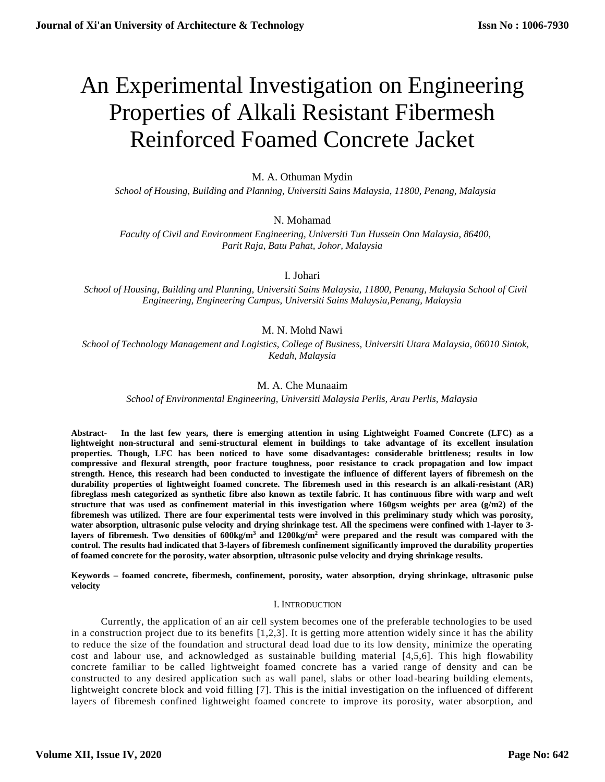# An Experimental Investigation on Engineering Properties of Alkali Resistant Fibermesh Reinforced Foamed Concrete Jacket

# M. A. Othuman Mydin

 *School of Housing, Building and Planning, Universiti Sains Malaysia, 11800, Penang, Malaysia*

# N. Mohamad

 *Faculty of Civil and Environment Engineering, Universiti Tun Hussein Onn Malaysia, 86400, Parit Raja, Batu Pahat, Johor, Malaysia*

I. Johari

 *School of Housing, Building and Planning, Universiti Sains Malaysia, 11800, Penang, Malaysia School of Civil Engineering, Engineering Campus, Universiti Sains Malaysia,Penang, Malaysia*

# M. N. Mohd Nawi

 *School of Technology Management and Logistics, College of Business, Universiti Utara Malaysia, 06010 Sintok, Kedah, Malaysia*

# M. A. Che Munaaim

*School of Environmental Engineering, Universiti Malaysia Perlis, Arau Perlis, Malaysia*

**Abstract- In the last few years, there is emerging attention in using Lightweight Foamed Concrete (LFC) as a lightweight non-structural and semi-structural element in buildings to take advantage of its excellent insulation properties. Though, LFC has been noticed to have some disadvantages: considerable brittleness; results in low compressive and flexural strength, poor fracture toughness, poor resistance to crack propagation and low impact strength. Hence, this research had been conducted to investigate the influence of different layers of fibremesh on the durability properties of lightweight foamed concrete. The fibremesh used in this research is an alkali-resistant (AR) fibreglass mesh categorized as synthetic fibre also known as textile fabric. It has continuous fibre with warp and weft structure that was used as confinement material in this investigation where 160gsm weights per area (g/m2) of the fibremesh was utilized. There are four experimental tests were involved in this preliminary study which was porosity, water absorption, ultrasonic pulse velocity and drying shrinkage test. All the specimens were confined with 1-layer to 3 layers of fibremesh. Two densities of 600kg/m<sup>3</sup> and 1200kg/m<sup>2</sup> were prepared and the result was compared with the control. The results had indicated that 3-layers of fibremesh confinement significantly improved the durability properties of foamed concrete for the porosity, water absorption, ultrasonic pulse velocity and drying shrinkage results.**

**Keywords – foamed concrete, fibermesh, confinement, porosity, water absorption, drying shrinkage, ultrasonic pulse velocity**

#### I. INTRODUCTION

Currently, the application of an air cell system becomes one of the preferable technologies to be used in a construction project due to its benefits [1,2,3]. It is getting more attention widely since it has the ability to reduce the size of the foundation and structural dead load due to its low density, minimize the operating cost and labour use, and acknowledged as sustainable building material [4,5,6]. This high flowability concrete familiar to be called lightweight foamed concrete has a varied range of density and can be constructed to any desired application such as wall panel, slabs or other load -bearing building elements, lightweight concrete block and void filling [7]. This is the initial investigation on the influenced of different layers of fibremesh confined lightweight foamed concrete to improve its porosity, water absorption, and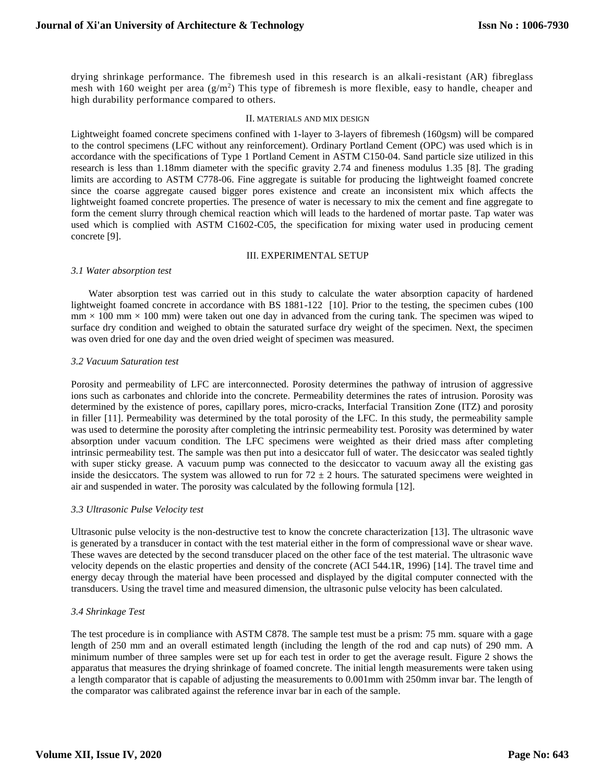drying shrinkage performance. The fibremesh used in this research is an alkali-resistant (AR) fibreglass mesh with 160 weight per area  $(g/m^2)$  This type of fibremesh is more flexible, easy to handle, cheaper and high durability performance compared to others.

#### II. MATERIALS AND MIX DESIGN

Lightweight foamed concrete specimens confined with 1-layer to 3-layers of fibremesh (160gsm) will be compared to the control specimens (LFC without any reinforcement). Ordinary Portland Cement (OPC) was used which is in accordance with the specifications of Type 1 Portland Cement in ASTM C150-04. Sand particle size utilized in this research is less than 1.18mm diameter with the specific gravity 2.74 and fineness modulus 1.35 [8]. The grading limits are according to ASTM C778-06. Fine aggregate is suitable for producing the lightweight foamed concrete since the coarse aggregate caused bigger pores existence and create an inconsistent mix which affects the lightweight foamed concrete properties. The presence of water is necessary to mix the cement and fine aggregate to form the cement slurry through chemical reaction which will leads to the hardened of mortar paste. Tap water was used which is complied with ASTM C1602-C05, the specification for mixing water used in producing cement concrete [9].

### III. EXPERIMENTAL SETUP

#### *3.1 Water absorption test*

 Water absorption test was carried out in this study to calculate the water absorption capacity of hardened lightweight foamed concrete in accordance with BS 1881-122 [10]. Prior to the testing, the specimen cubes (100  $mm \times 100$  mm  $\times 100$  mm) were taken out one day in advanced from the curing tank. The specimen was wiped to surface dry condition and weighed to obtain the saturated surface dry weight of the specimen. Next, the specimen was oven dried for one day and the oven dried weight of specimen was measured.

#### *3.2 Vacuum Saturation test*

Porosity and permeability of LFC are interconnected. Porosity determines the pathway of intrusion of aggressive ions such as carbonates and chloride into the concrete. Permeability determines the rates of intrusion. Porosity was determined by the existence of pores, capillary pores, micro-cracks, Interfacial Transition Zone (ITZ) and porosity in filler [11]. Permeability was determined by the total porosity of the LFC. In this study, the permeability sample was used to determine the porosity after completing the intrinsic permeability test. Porosity was determined by water absorption under vacuum condition. The LFC specimens were weighted as their dried mass after completing intrinsic permeability test. The sample was then put into a desiccator full of water. The desiccator was sealed tightly with super sticky grease. A vacuum pump was connected to the desiccator to vacuum away all the existing gas inside the desiccators. The system was allowed to run for  $72 \pm 2$  hours. The saturated specimens were weighted in air and suspended in water. The porosity was calculated by the following formula [12].

#### *3.3 Ultrasonic Pulse Velocity test*

Ultrasonic pulse velocity is the non-destructive test to know the concrete characterization [13]. The ultrasonic wave is generated by a transducer in contact with the test material either in the form of compressional wave or shear wave. These waves are detected by the second transducer placed on the other face of the test material. The ultrasonic wave velocity depends on the elastic properties and density of the concrete (ACI 544.1R, 1996) [14]. The travel time and energy decay through the material have been processed and displayed by the digital computer connected with the transducers. Using the travel time and measured dimension, the ultrasonic pulse velocity has been calculated.

#### *3.4 Shrinkage Test*

The test procedure is in compliance with ASTM C878. The sample test must be a prism: 75 mm. square with a gage length of 250 mm and an overall estimated length (including the length of the rod and cap nuts) of 290 mm. A minimum number of three samples were set up for each test in order to get the average result. Figure 2 shows the apparatus that measures the drying shrinkage of foamed concrete. The initial length measurements were taken using a length comparator that is capable of adjusting the measurements to 0.001mm with 250mm invar bar. The length of the comparator was calibrated against the reference invar bar in each of the sample.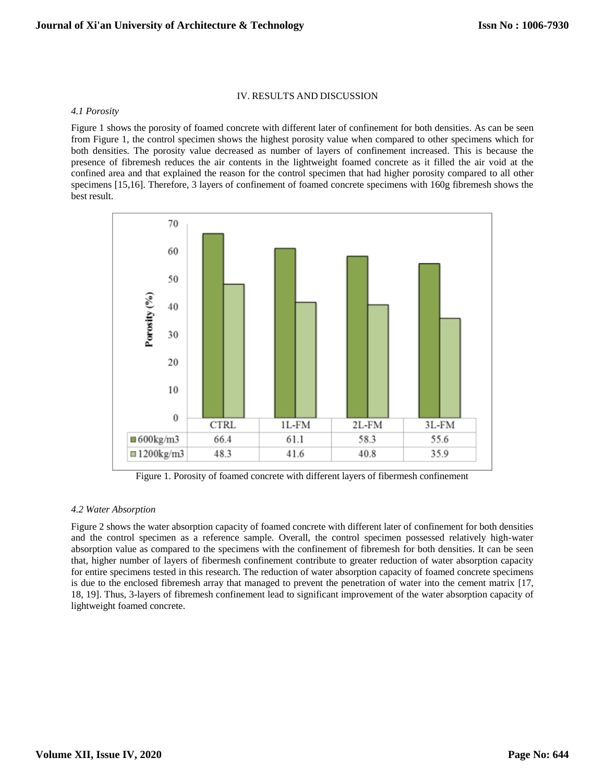#### IV. RESULTS AND DISCUSSION

#### *4.1 Porosity*

Figure 1 shows the porosity of foamed concrete with different later of confinement for both densities. As can be seen from Figure 1, the control specimen shows the highest porosity value when compared to other specimens which for both densities. The porosity value decreased as number of layers of confinement increased. This is because the presence of fibremesh reduces the air contents in the lightweight foamed concrete as it filled the air void at the confined area and that explained the reason for the control specimen that had higher porosity compared to all other specimens [15,16]. Therefore, 3 layers of confinement of foamed concrete specimens with 160g fibremesh shows the best result.



Figure 1. Porosity of foamed concrete with different layers of fibermesh confinement

## *4.2 Water Absorption*

Figure 2 shows the water absorption capacity of foamed concrete with different later of confinement for both densities and the control specimen as a reference sample. Overall, the control specimen possessed relatively high-water absorption value as compared to the specimens with the confinement of fibremesh for both densities. It can be seen that, higher number of layers of fibermesh confinement contribute to greater reduction of water absorption capacity for entire specimens tested in this research. The reduction of water absorption capacity of foamed concrete specimens is due to the enclosed fibremesh array that managed to prevent the penetration of water into the cement matrix [17, 18, 19]. Thus, 3-layers of fibremesh confinement lead to significant improvement of the water absorption capacity of lightweight foamed concrete.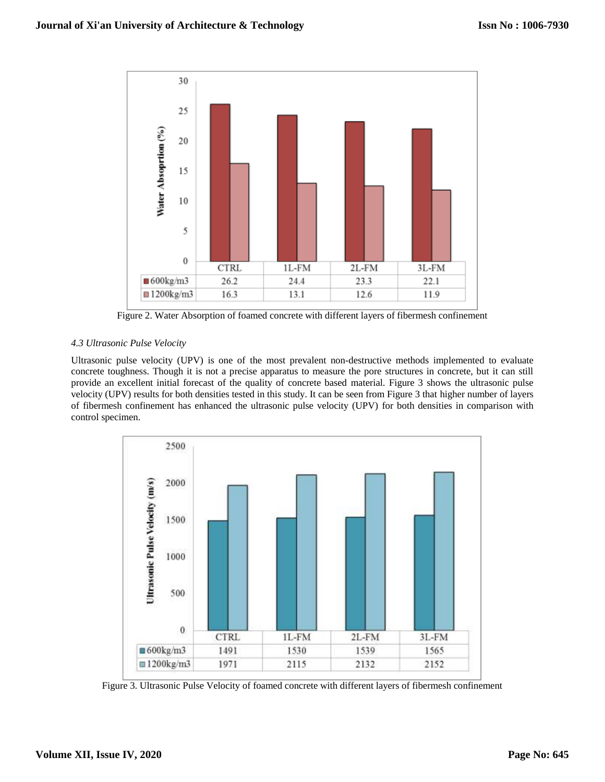

Figure 2. Water Absorption of foamed concrete with different layers of fibermesh confinement

# *4.3 Ultrasonic Pulse Velocity*

Ultrasonic pulse velocity (UPV) is one of the most prevalent non-destructive methods implemented to evaluate concrete toughness. Though it is not a precise apparatus to measure the pore structures in concrete, but it can still provide an excellent initial forecast of the quality of concrete based material. Figure 3 shows the ultrasonic pulse velocity (UPV) results for both densities tested in this study. It can be seen from Figure 3 that higher number of layers of fibermesh confinement has enhanced the ultrasonic pulse velocity (UPV) for both densities in comparison with control specimen.



Figure 3. Ultrasonic Pulse Velocity of foamed concrete with different layers of fibermesh confinement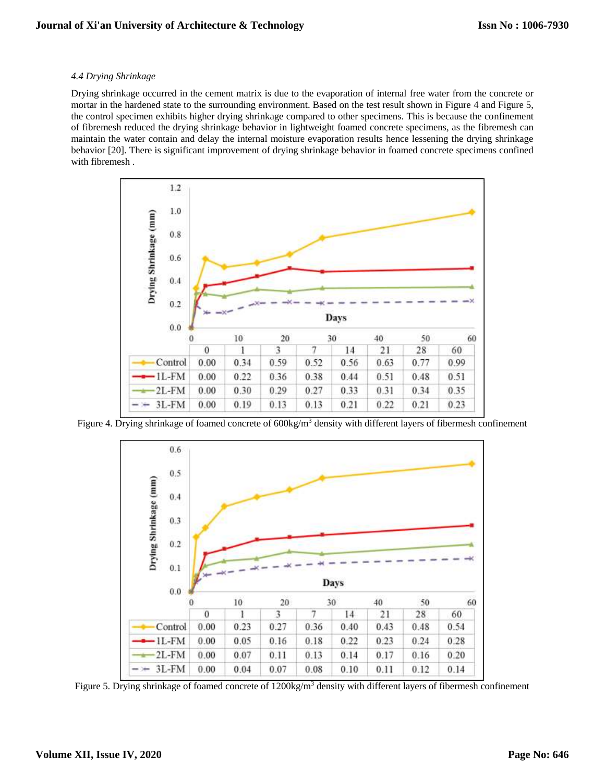## *4.4 Drying Shrinkage*

Drying shrinkage occurred in the cement matrix is due to the evaporation of internal free water from the concrete or mortar in the hardened state to the surrounding environment. Based on the test result shown in Figure 4 and Figure 5, the control specimen exhibits higher drying shrinkage compared to other specimens. This is because the confinement of fibremesh reduced the drying shrinkage behavior in lightweight foamed concrete specimens, as the fibremesh can maintain the water contain and delay the internal moisture evaporation results hence lessening the drying shrinkage behavior [20]. There is significant improvement of drying shrinkage behavior in foamed concrete specimens confined with fibremesh .



Figure 4. Drying shrinkage of foamed concrete of 600kg/m<sup>3</sup> density with different layers of fibermesh confinement



Figure 5. Drying shrinkage of foamed concrete of 1200kg/m<sup>3</sup> density with different layers of fibermesh confinement